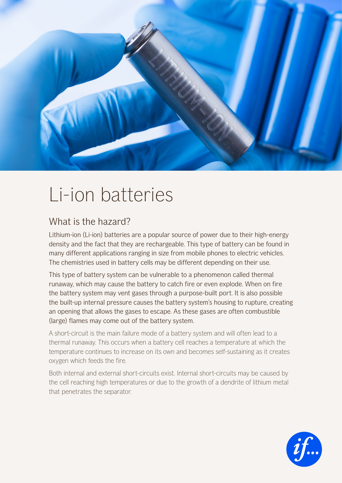

## Li-ion batteries

## What is the hazard?

Lithium-ion (Li-ion) batteries are a popular source of power due to their high-energy density and the fact that they are rechargeable. This type of battery can be found in many different applications ranging in size from mobile phones to electric vehicles. The chemistries used in battery cells may be different depending on their use.

This type of battery system can be vulnerable to a phenomenon called thermal runaway, which may cause the battery to catch fire or even explode. When on fire the battery system may vent gases through a purpose-built port. It is also possible the built-up internal pressure causes the battery system's housing to rupture, creating an opening that allows the gases to escape. As these gases are often combustible (large) flames may come out of the battery system.

A short-circuit is the main failure mode of a battery system and will often lead to a thermal runaway. This occurs when a battery cell reaches a temperature at which the temperature continues to increase on its own and becomes self-sustaining as it creates oxygen which feeds the fire.

Both internal and external short-circuits exist. Internal short-circuits may be caused by the cell reaching high temperatures or due to the growth of a dendrite of lithium metal that penetrates the separator.

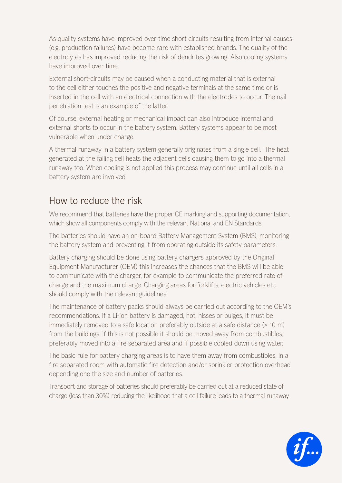As quality systems have improved over time short circuits resulting from internal causes (e.g. production failures) have become rare with established brands. The quality of the electrolytes has improved reducing the risk of dendrites growing. Also cooling systems have improved over time.

External short-circuits may be caused when a conducting material that is external to the cell either touches the positive and negative terminals at the same time or is inserted in the cell with an electrical connection with the electrodes to occur. The nail penetration test is an example of the latter.

Of course, external heating or mechanical impact can also introduce internal and external shorts to occur in the battery system. Battery systems appear to be most vulnerable when under charge.

A thermal runaway in a battery system generally originates from a single cell. The heat generated at the failing cell heats the adjacent cells causing them to go into a thermal runaway too. When cooling is not applied this process may continue until all cells in a battery system are involved.

## How to reduce the risk

We recommend that batteries have the proper CE marking and supporting documentation, which show all components comply with the relevant National and EN Standards.

The batteries should have an on-board Battery Management System (BMS), monitoring the battery system and preventing it from operating outside its safety parameters.

Battery charging should be done using battery chargers approved by the Original Equipment Manufacturer (OEM) this increases the chances that the BMS will be able to communicate with the charger, for example to communicate the preferred rate of charge and the maximum charge. Charging areas for forklifts, electric vehicles etc. should comply with the relevant guidelines.

The maintenance of battery packs should always be carried out according to the OEM's recommendations. If a Li-ion battery is damaged, hot, hisses or bulges, it must be immediately removed to a safe location preferably outside at a safe distance (> 10 m) from the buildings. If this is not possible it should be moved away from combustibles, preferably moved into a fire separated area and if possible cooled down using water.

The basic rule for battery charging areas is to have them away from combustibles, in a fire separated room with automatic fire detection and/or sprinkler protection overhead depending one the size and number of batteries.

Transport and storage of batteries should preferably be carried out at a reduced state of charge (less than 30%) reducing the likelihood that a cell failure leads to a thermal runaway.